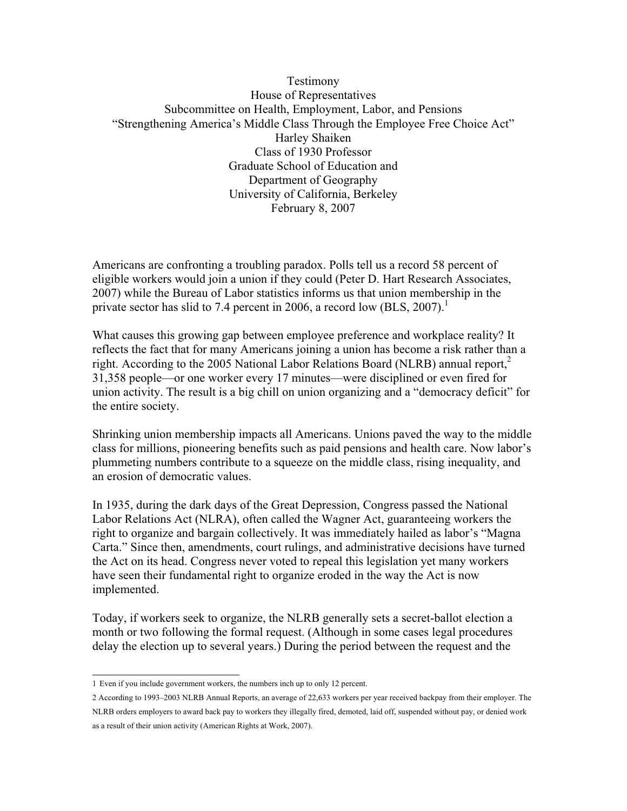### Testimony House of Representatives Subcommittee on Health, Employment, Labor, and Pensions "Strengthening America's Middle Class Through the Employee Free Choice Act" Harley Shaiken Class of 1930 Professor Graduate School of Education and Department of Geography University of California, Berkeley February 8, 2007

Americans are confronting a troubling paradox. Polls tell us a record 58 percent of eligible workers would join a union if they could (Peter D. Hart Research Associates, 2007) while the Bureau of Labor statistics informs us that union membership in the private sector has slid to 7.4 percent in 2006, a record low  $(BLS, 2007)$ .<sup>1</sup>

What causes this growing gap between employee preference and workplace reality? It reflects the fact that for many Americans joining a union has become a risk rather than a right. According to the 2005 National Labor Relations Board (NLRB) annual report, $^2$ 31,358 people—or one worker every 17 minutes—were disciplined or even fired for union activity. The result is a big chill on union organizing and a "democracy deficit" for the entire society.

Shrinking union membership impacts all Americans. Unions paved the way to the middle class for millions, pioneering benefits such as paid pensions and health care. Now labor's plummeting numbers contribute to a squeeze on the middle class, rising inequality, and an erosion of democratic values.

In 1935, during the dark days of the Great Depression, Congress passed the National Labor Relations Act (NLRA), often called the Wagner Act, guaranteeing workers the right to organize and bargain collectively. It was immediately hailed as labor's "Magna Carta." Since then, amendments, court rulings, and administrative decisions have turned the Act on its head. Congress never voted to repeal this legislation yet many workers have seen their fundamental right to organize eroded in the way the Act is now implemented.

Today, if workers seek to organize, the NLRB generally sets a secret-ballot election a month or two following the formal request. (Although in some cases legal procedures delay the election up to several years.) During the period between the request and the

<sup>1</sup> Even if you include government workers, the numbers inch up to only 12 percent.

<sup>2</sup> According to 1993–2003 NLRB Annual Reports, an average of 22,633 workers per year received backpay from their employer. The NLRB orders employers to award back pay to workers they illegally fired, demoted, laid off, suspended without pay, or denied work as a result of their union activity (American Rights at Work, 2007).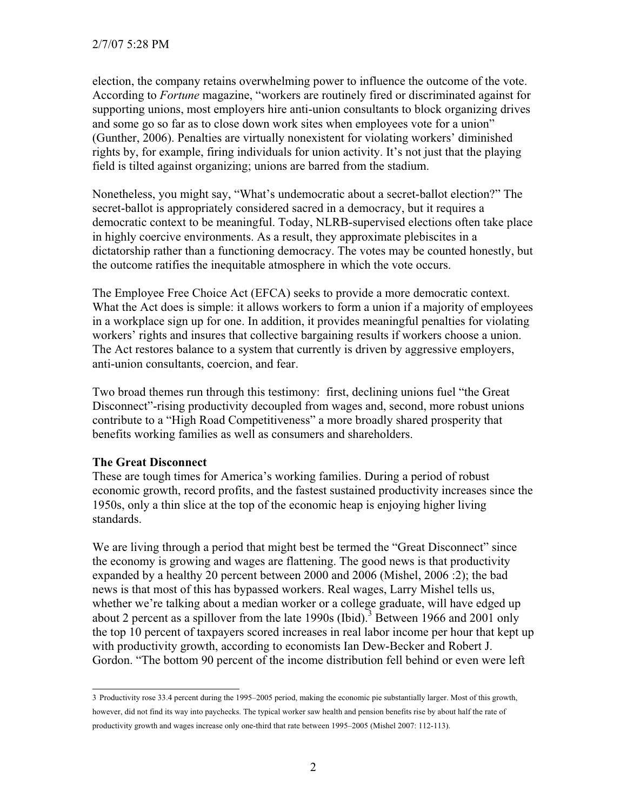election, the company retains overwhelming power to influence the outcome of the vote. According to *Fortune* magazine, "workers are routinely fired or discriminated against for supporting unions, most employers hire anti-union consultants to block organizing drives and some go so far as to close down work sites when employees vote for a union" (Gunther, 2006). Penalties are virtually nonexistent for violating workers' diminished rights by, for example, firing individuals for union activity. It's not just that the playing field is tilted against organizing; unions are barred from the stadium.

Nonetheless, you might say, "What's undemocratic about a secret-ballot election?" The secret-ballot is appropriately considered sacred in a democracy, but it requires a democratic context to be meaningful. Today, NLRB-supervised elections often take place in highly coercive environments. As a result, they approximate plebiscites in a dictatorship rather than a functioning democracy. The votes may be counted honestly, but the outcome ratifies the inequitable atmosphere in which the vote occurs.

The Employee Free Choice Act (EFCA) seeks to provide a more democratic context. What the Act does is simple: it allows workers to form a union if a majority of employees in a workplace sign up for one. In addition, it provides meaningful penalties for violating workers' rights and insures that collective bargaining results if workers choose a union. The Act restores balance to a system that currently is driven by aggressive employers, anti-union consultants, coercion, and fear.

Two broad themes run through this testimony: first, declining unions fuel "the Great Disconnect"-rising productivity decoupled from wages and, second, more robust unions contribute to a "High Road Competitiveness" a more broadly shared prosperity that benefits working families as well as consumers and shareholders.

#### **The Great Disconnect**

These are tough times for America's working families. During a period of robust economic growth, record profits, and the fastest sustained productivity increases since the 1950s, only a thin slice at the top of the economic heap is enjoying higher living standards.

We are living through a period that might best be termed the "Great Disconnect" since the economy is growing and wages are flattening. The good news is that productivity expanded by a healthy 20 percent between 2000 and 2006 (Mishel, 2006 :2); the bad news is that most of this has bypassed workers. Real wages, Larry Mishel tells us, whether we're talking about a median worker or a college graduate, will have edged up about 2 percent as a spillover from the late  $1990s$  (Ibid).<sup>3</sup> Between 1966 and 2001 only the top 10 percent of taxpayers scored increases in real labor income per hour that kept up with productivity growth, according to economists Ian Dew-Becker and Robert J. Gordon. "The bottom 90 percent of the income distribution fell behind or even were left

<sup>3</sup> Productivity rose 33.4 percent during the 1995–2005 period, making the economic pie substantially larger. Most of this growth, however, did not find its way into paychecks. The typical worker saw health and pension benefits rise by about half the rate of productivity growth and wages increase only one-third that rate between 1995–2005 (Mishel 2007: 112-113).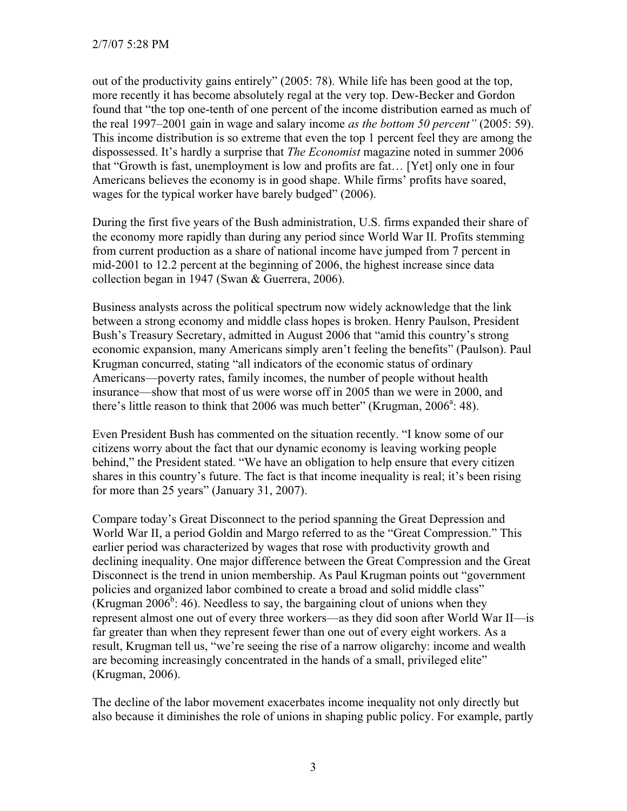out of the productivity gains entirely" (2005: 78). While life has been good at the top, more recently it has become absolutely regal at the very top. Dew-Becker and Gordon found that "the top one-tenth of one percent of the income distribution earned as much of the real 1997–2001 gain in wage and salary income *as the bottom 50 percent"* (2005: 59). This income distribution is so extreme that even the top 1 percent feel they are among the dispossessed. It's hardly a surprise that *The Economist* magazine noted in summer 2006 that "Growth is fast, unemployment is low and profits are fat… [Yet] only one in four Americans believes the economy is in good shape. While firms' profits have soared, wages for the typical worker have barely budged" (2006).

During the first five years of the Bush administration, U.S. firms expanded their share of the economy more rapidly than during any period since World War II. Profits stemming from current production as a share of national income have jumped from 7 percent in mid-2001 to 12.2 percent at the beginning of 2006, the highest increase since data collection began in 1947 (Swan & Guerrera, 2006).

Business analysts across the political spectrum now widely acknowledge that the link between a strong economy and middle class hopes is broken. Henry Paulson, President Bush's Treasury Secretary, admitted in August 2006 that "amid this country's strong economic expansion, many Americans simply aren't feeling the benefits" (Paulson). Paul Krugman concurred, stating "all indicators of the economic status of ordinary Americans—poverty rates, family incomes, the number of people without health insurance—show that most of us were worse off in 2005 than we were in 2000, and there's little reason to think that 2006 was much better" (Krugman,  $2006^a$ : 48).

Even President Bush has commented on the situation recently. "I know some of our citizens worry about the fact that our dynamic economy is leaving working people behind," the President stated. "We have an obligation to help ensure that every citizen shares in this country's future. The fact is that income inequality is real; it's been rising for more than 25 years" (January 31, 2007).

Compare today's Great Disconnect to the period spanning the Great Depression and World War II, a period Goldin and Margo referred to as the "Great Compression." This earlier period was characterized by wages that rose with productivity growth and declining inequality. One major difference between the Great Compression and the Great Disconnect is the trend in union membership. As Paul Krugman points out "government policies and organized labor combined to create a broad and solid middle class" (Krugman 2006<sup>b</sup>: 46). Needless to say, the bargaining clout of unions when they represent almost one out of every three workers—as they did soon after World War II—is far greater than when they represent fewer than one out of every eight workers. As a result, Krugman tell us, "we're seeing the rise of a narrow oligarchy: income and wealth are becoming increasingly concentrated in the hands of a small, privileged elite" (Krugman, 2006).

The decline of the labor movement exacerbates income inequality not only directly but also because it diminishes the role of unions in shaping public policy. For example, partly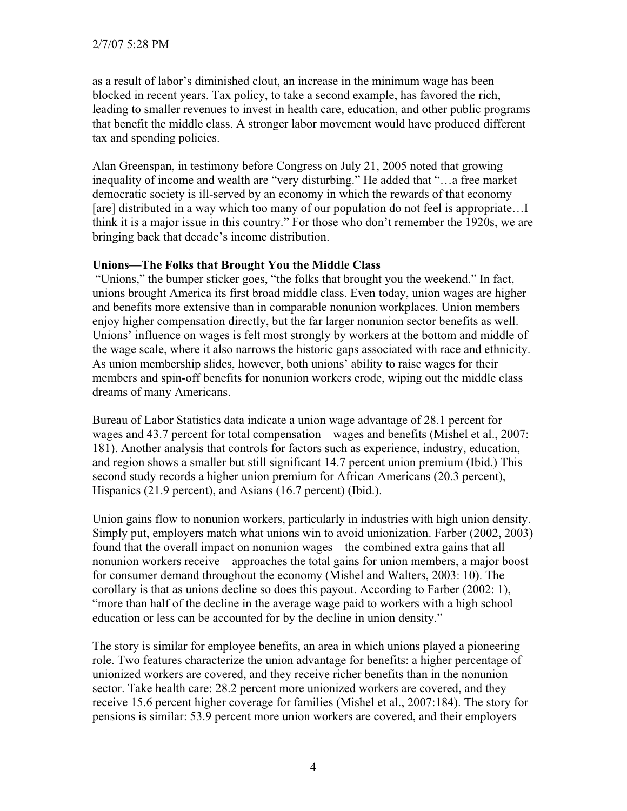as a result of labor's diminished clout, an increase in the minimum wage has been blocked in recent years. Tax policy, to take a second example, has favored the rich, leading to smaller revenues to invest in health care, education, and other public programs that benefit the middle class. A stronger labor movement would have produced different tax and spending policies.

Alan Greenspan, in testimony before Congress on July 21, 2005 noted that growing inequality of income and wealth are "very disturbing." He added that "…a free market democratic society is ill-served by an economy in which the rewards of that economy [are] distributed in a way which too many of our population do not feel is appropriate...] think it is a major issue in this country." For those who don't remember the 1920s, we are bringing back that decade's income distribution.

#### **Unions—The Folks that Brought You the Middle Class**

 "Unions," the bumper sticker goes, "the folks that brought you the weekend." In fact, unions brought America its first broad middle class. Even today, union wages are higher and benefits more extensive than in comparable nonunion workplaces. Union members enjoy higher compensation directly, but the far larger nonunion sector benefits as well. Unions' influence on wages is felt most strongly by workers at the bottom and middle of the wage scale, where it also narrows the historic gaps associated with race and ethnicity. As union membership slides, however, both unions' ability to raise wages for their members and spin-off benefits for nonunion workers erode, wiping out the middle class dreams of many Americans.

Bureau of Labor Statistics data indicate a union wage advantage of 28.1 percent for wages and 43.7 percent for total compensation—wages and benefits (Mishel et al., 2007: 181). Another analysis that controls for factors such as experience, industry, education, and region shows a smaller but still significant 14.7 percent union premium (Ibid.) This second study records a higher union premium for African Americans (20.3 percent), Hispanics (21.9 percent), and Asians (16.7 percent) (Ibid.).

Union gains flow to nonunion workers, particularly in industries with high union density. Simply put, employers match what unions win to avoid unionization. Farber (2002, 2003) found that the overall impact on nonunion wages—the combined extra gains that all nonunion workers receive—approaches the total gains for union members, a major boost for consumer demand throughout the economy (Mishel and Walters, 2003: 10). The corollary is that as unions decline so does this payout. According to Farber (2002: 1), "more than half of the decline in the average wage paid to workers with a high school education or less can be accounted for by the decline in union density."

The story is similar for employee benefits, an area in which unions played a pioneering role. Two features characterize the union advantage for benefits: a higher percentage of unionized workers are covered, and they receive richer benefits than in the nonunion sector. Take health care: 28.2 percent more unionized workers are covered, and they receive 15.6 percent higher coverage for families (Mishel et al., 2007:184). The story for pensions is similar: 53.9 percent more union workers are covered, and their employers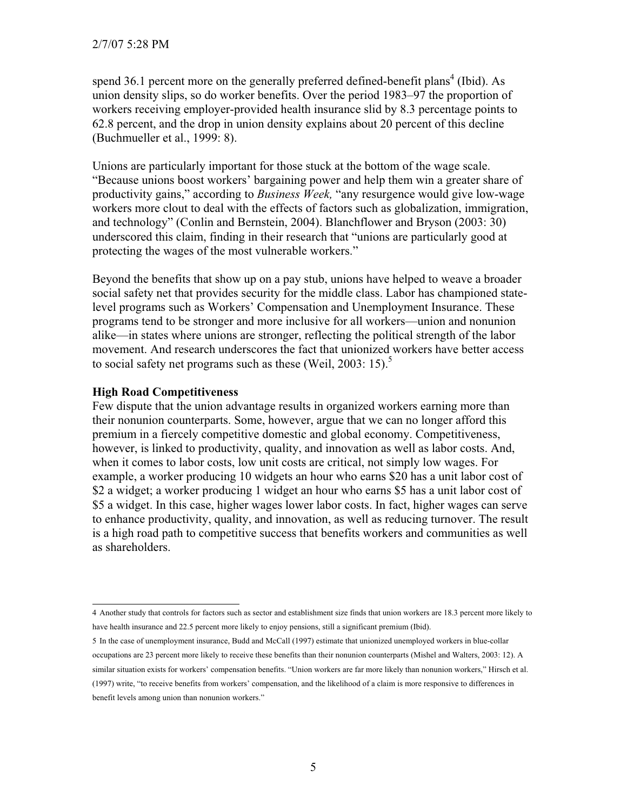spend 36.1 percent more on the generally preferred defined-benefit plans<sup>4</sup> (Ibid). As union density slips, so do worker benefits. Over the period 1983–97 the proportion of workers receiving employer-provided health insurance slid by 8.3 percentage points to 62.8 percent, and the drop in union density explains about 20 percent of this decline (Buchmueller et al., 1999: 8).

Unions are particularly important for those stuck at the bottom of the wage scale. "Because unions boost workers' bargaining power and help them win a greater share of productivity gains," according to *Business Week,* "any resurgence would give low-wage workers more clout to deal with the effects of factors such as globalization, immigration, and technology" (Conlin and Bernstein, 2004). Blanchflower and Bryson (2003: 30) underscored this claim, finding in their research that "unions are particularly good at protecting the wages of the most vulnerable workers."

Beyond the benefits that show up on a pay stub, unions have helped to weave a broader social safety net that provides security for the middle class. Labor has championed statelevel programs such as Workers' Compensation and Unemployment Insurance. These programs tend to be stronger and more inclusive for all workers—union and nonunion alike—in states where unions are stronger, reflecting the political strength of the labor movement. And research underscores the fact that unionized workers have better access to social safety net programs such as these (Weil, 2003: 15).<sup>5</sup>

#### **High Road Competitiveness**

Few dispute that the union advantage results in organized workers earning more than their nonunion counterparts. Some, however, argue that we can no longer afford this premium in a fiercely competitive domestic and global economy. Competitiveness, however, is linked to productivity, quality, and innovation as well as labor costs. And, when it comes to labor costs, low unit costs are critical, not simply low wages. For example, a worker producing 10 widgets an hour who earns \$20 has a unit labor cost of \$2 a widget; a worker producing 1 widget an hour who earns \$5 has a unit labor cost of \$5 a widget. In this case, higher wages lower labor costs. In fact, higher wages can serve to enhance productivity, quality, and innovation, as well as reducing turnover. The result is a high road path to competitive success that benefits workers and communities as well as shareholders.

5 In the case of unemployment insurance, Budd and McCall (1997) estimate that unionized unemployed workers in blue-collar occupations are 23 percent more likely to receive these benefits than their nonunion counterparts (Mishel and Walters, 2003: 12). A similar situation exists for workers' compensation benefits. "Union workers are far more likely than nonunion workers," Hirsch et al. (1997) write, "to receive benefits from workers' compensation, and the likelihood of a claim is more responsive to differences in benefit levels among union than nonunion workers."

<sup>4</sup> Another study that controls for factors such as sector and establishment size finds that union workers are 18.3 percent more likely to have health insurance and 22.5 percent more likely to enjoy pensions, still a significant premium (Ibid).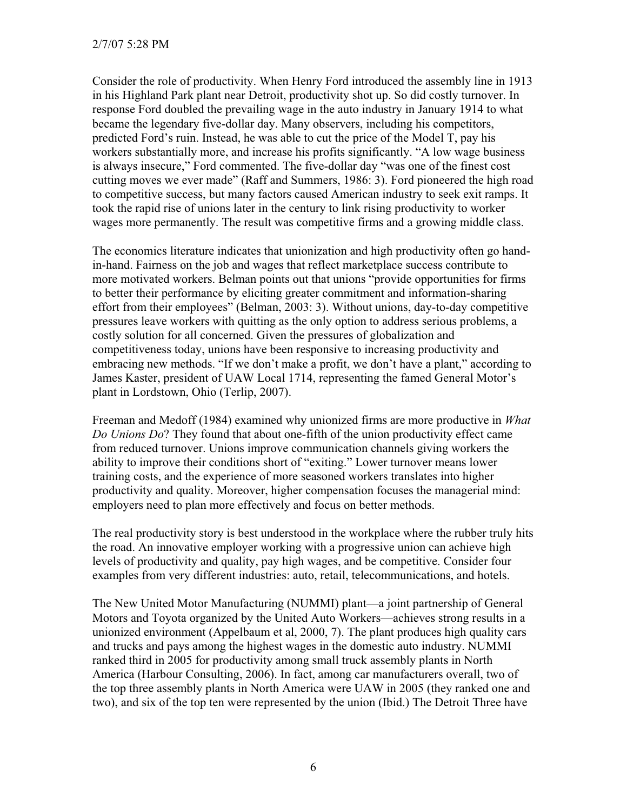Consider the role of productivity. When Henry Ford introduced the assembly line in 1913 in his Highland Park plant near Detroit, productivity shot up. So did costly turnover. In response Ford doubled the prevailing wage in the auto industry in January 1914 to what became the legendary five-dollar day. Many observers, including his competitors, predicted Ford's ruin. Instead, he was able to cut the price of the Model T, pay his workers substantially more, and increase his profits significantly. "A low wage business is always insecure," Ford commented. The five-dollar day "was one of the finest cost cutting moves we ever made" (Raff and Summers, 1986: 3). Ford pioneered the high road to competitive success, but many factors caused American industry to seek exit ramps. It took the rapid rise of unions later in the century to link rising productivity to worker wages more permanently. The result was competitive firms and a growing middle class.

The economics literature indicates that unionization and high productivity often go handin-hand. Fairness on the job and wages that reflect marketplace success contribute to more motivated workers. Belman points out that unions "provide opportunities for firms to better their performance by eliciting greater commitment and information-sharing effort from their employees" (Belman, 2003: 3). Without unions, day-to-day competitive pressures leave workers with quitting as the only option to address serious problems, a costly solution for all concerned. Given the pressures of globalization and competitiveness today, unions have been responsive to increasing productivity and embracing new methods. "If we don't make a profit, we don't have a plant," according to James Kaster, president of UAW Local 1714, representing the famed General Motor's plant in Lordstown, Ohio (Terlip, 2007).

Freeman and Medoff (1984) examined why unionized firms are more productive in *What Do Unions Do*? They found that about one-fifth of the union productivity effect came from reduced turnover. Unions improve communication channels giving workers the ability to improve their conditions short of "exiting." Lower turnover means lower training costs, and the experience of more seasoned workers translates into higher productivity and quality. Moreover, higher compensation focuses the managerial mind: employers need to plan more effectively and focus on better methods.

The real productivity story is best understood in the workplace where the rubber truly hits the road. An innovative employer working with a progressive union can achieve high levels of productivity and quality, pay high wages, and be competitive. Consider four examples from very different industries: auto, retail, telecommunications, and hotels.

The New United Motor Manufacturing (NUMMI) plant—a joint partnership of General Motors and Toyota organized by the United Auto Workers—achieves strong results in a unionized environment (Appelbaum et al, 2000, 7). The plant produces high quality cars and trucks and pays among the highest wages in the domestic auto industry. NUMMI ranked third in 2005 for productivity among small truck assembly plants in North America (Harbour Consulting, 2006). In fact, among car manufacturers overall, two of the top three assembly plants in North America were UAW in 2005 (they ranked one and two), and six of the top ten were represented by the union (Ibid.) The Detroit Three have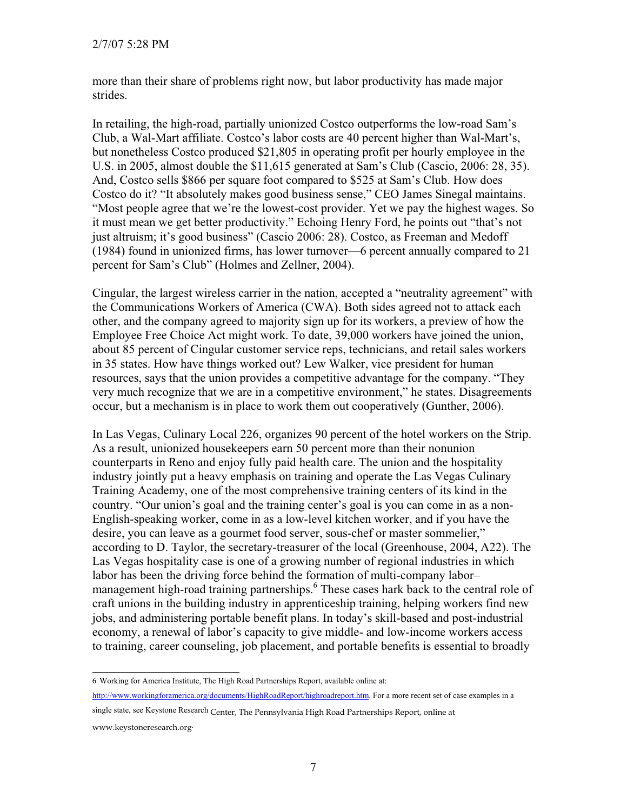more than their share of problems right now, but labor productivity has made major strides.

In retailing, the high-road, partially unionized Costco outperforms the low-road Sam's Club, a Wal-Mart affiliate. Costco's labor costs are 40 percent higher than Wal-Mart's, but nonetheless Costco produced \$21,805 in operating profit per hourly employee in the U.S. in 2005, almost double the \$11,615 generated at Sam's Club (Cascio, 2006: 28, 35). And, Costco sells \$866 per square foot compared to \$525 at Sam's Club. How does Costco do it? "It absolutely makes good business sense," CEO James Sinegal maintains. "Most people agree that we're the lowest-cost provider. Yet we pay the highest wages. So it must mean we get better productivity." Echoing Henry Ford, he points out "that's not just altruism; it's good business" (Cascio 2006: 28). Costco, as Freeman and Medoff (1984) found in unionized firms, has lower turnover—6 percent annually compared to 21 percent for Sam's Club" (Holmes and Zellner, 2004).

Cingular, the largest wireless carrier in the nation, accepted a "neutrality agreement" with the Communications Workers of America (CWA). Both sides agreed not to attack each other, and the company agreed to majority sign up for its workers, a preview of how the Employee Free Choice Act might work. To date, 39,000 workers have joined the union, about 85 percent of Cingular customer service reps, technicians, and retail sales workers in 35 states. How have things worked out? Lew Walker, vice president for human resources, says that the union provides a competitive advantage for the company. "They very much recognize that we are in a competitive environment," he states. Disagreements occur, but a mechanism is in place to work them out cooperatively (Gunther, 2006).

In Las Vegas, Culinary Local 226, organizes 90 percent of the hotel workers on the Strip. As a result, unionized housekeepers earn 50 percent more than their nonunion counterparts in Reno and enjoy fully paid health care. The union and the hospitality industry jointly put a heavy emphasis on training and operate the Las Vegas Culinary Training Academy, one of the most comprehensive training centers of its kind in the country. "Our union's goal and the training center's goal is you can come in as a non-English-speaking worker, come in as a low-level kitchen worker, and if you have the desire, you can leave as a gourmet food server, sous-chef or master sommelier," according to D. Taylor, the secretary-treasurer of the local (Greenhouse, 2004, A22). The Las Vegas hospitality case is one of a growing number of regional industries in which labor has been the driving force behind the formation of multi-company labor– management high-road training partnerships.<sup>6</sup> These cases hark back to the central role of craft unions in the building industry in apprenticeship training, helping workers find new jobs, and administering portable benefit plans. In today's skill-based and post-industrial economy, a renewal of labor's capacity to give middle- and low-income workers access to training, career counseling, job placement, and portable benefits is essential to broadly

http://www.workingforamerica.org/documents/HighRoadReport/highroadreport.htm. For a more recent set of case examples in a

<sup>6</sup> Working for America Institute, The High Road Partnerships Report, available online at:

single state, see Keystone Research Center, The Pennsylvania High Road Partnerships Report, online at

www.keystoneresearch.org.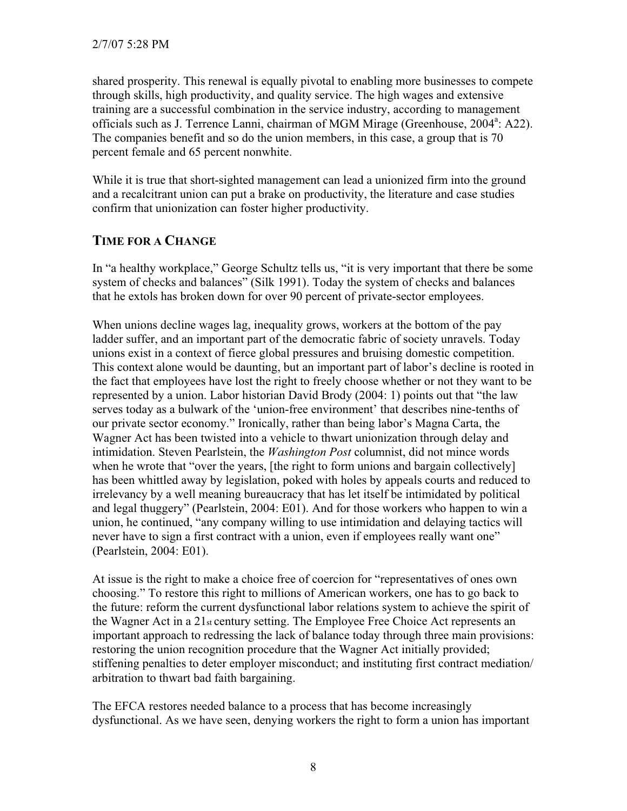shared prosperity. This renewal is equally pivotal to enabling more businesses to compete through skills, high productivity, and quality service. The high wages and extensive training are a successful combination in the service industry, according to management officials such as J. Terrence Lanni, chairman of MGM Mirage (Greenhouse, 2004<sup>a</sup>: A22). The companies benefit and so do the union members, in this case, a group that is 70 percent female and 65 percent nonwhite.

While it is true that short-sighted management can lead a unionized firm into the ground and a recalcitrant union can put a brake on productivity, the literature and case studies confirm that unionization can foster higher productivity.

# **TIME FOR A CHANGE**

In "a healthy workplace," George Schultz tells us, "it is very important that there be some system of checks and balances" (Silk 1991). Today the system of checks and balances that he extols has broken down for over 90 percent of private-sector employees.

When unions decline wages lag, inequality grows, workers at the bottom of the pay ladder suffer, and an important part of the democratic fabric of society unravels. Today unions exist in a context of fierce global pressures and bruising domestic competition. This context alone would be daunting, but an important part of labor's decline is rooted in the fact that employees have lost the right to freely choose whether or not they want to be represented by a union. Labor historian David Brody (2004: 1) points out that "the law serves today as a bulwark of the 'union-free environment' that describes nine-tenths of our private sector economy." Ironically, rather than being labor's Magna Carta, the Wagner Act has been twisted into a vehicle to thwart unionization through delay and intimidation. Steven Pearlstein, the *Washington Post* columnist, did not mince words when he wrote that "over the years, [the right to form unions and bargain collectively] has been whittled away by legislation, poked with holes by appeals courts and reduced to irrelevancy by a well meaning bureaucracy that has let itself be intimidated by political and legal thuggery" (Pearlstein, 2004: E01). And for those workers who happen to win a union, he continued, "any company willing to use intimidation and delaying tactics will never have to sign a first contract with a union, even if employees really want one" (Pearlstein, 2004: E01).

At issue is the right to make a choice free of coercion for "representatives of ones own choosing." To restore this right to millions of American workers, one has to go back to the future: reform the current dysfunctional labor relations system to achieve the spirit of the Wagner Act in a 21st century setting. The Employee Free Choice Act represents an important approach to redressing the lack of balance today through three main provisions: restoring the union recognition procedure that the Wagner Act initially provided; stiffening penalties to deter employer misconduct; and instituting first contract mediation/ arbitration to thwart bad faith bargaining.

The EFCA restores needed balance to a process that has become increasingly dysfunctional. As we have seen, denying workers the right to form a union has important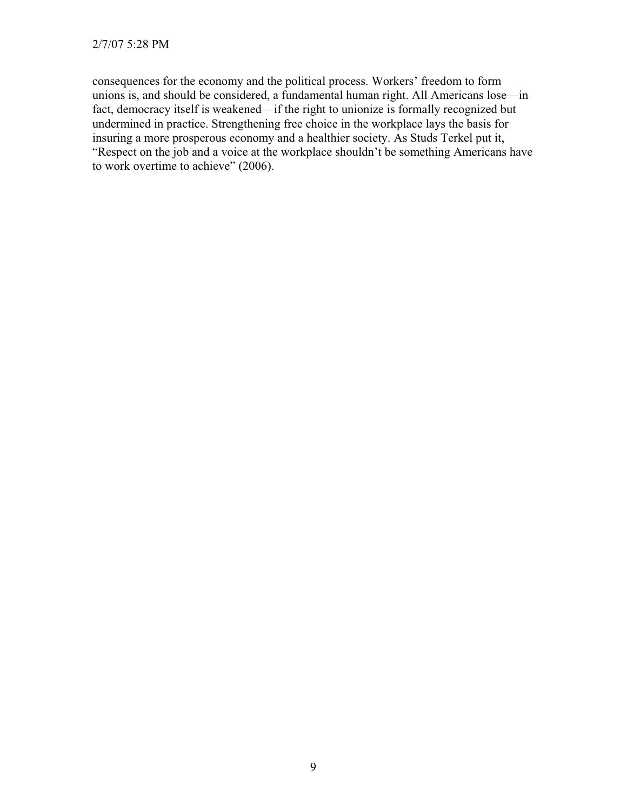consequences for the economy and the political process. Workers' freedom to form unions is, and should be considered, a fundamental human right. All Americans lose—in fact, democracy itself is weakened—if the right to unionize is formally recognized but undermined in practice. Strengthening free choice in the workplace lays the basis for insuring a more prosperous economy and a healthier society. As Studs Terkel put it, "Respect on the job and a voice at the workplace shouldn't be something Americans have to work overtime to achieve" (2006).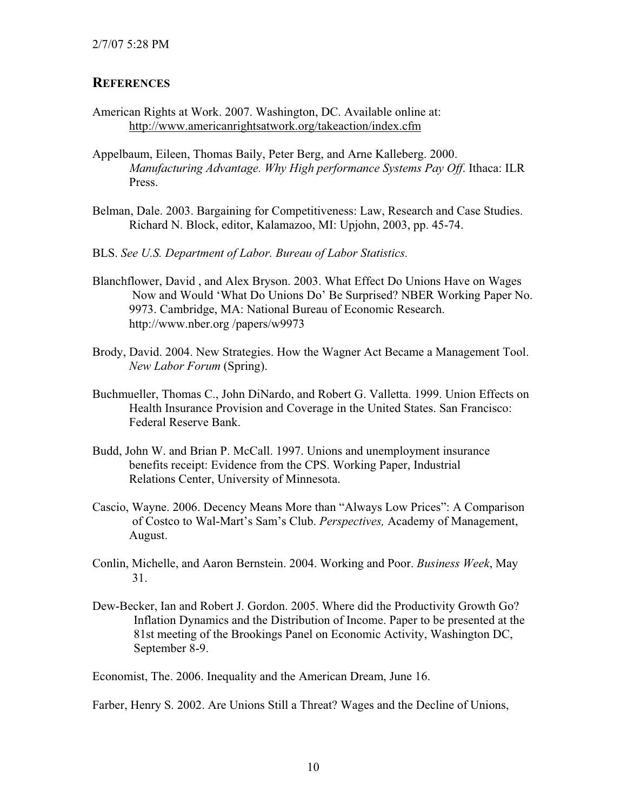## **REFERENCES**

- American Rights at Work. 2007. Washington, DC. Available online at: http://www.americanrightsatwork.org/takeaction/index.cfm
- Appelbaum, Eileen, Thomas Baily, Peter Berg, and Arne Kalleberg. 2000. *Manufacturing Advantage. Why High performance Systems Pay Off*. Ithaca: ILR Press.
- Belman, Dale. 2003. Bargaining for Competitiveness: Law, Research and Case Studies. Richard N. Block, editor, Kalamazoo, MI: Upjohn, 2003, pp. 45-74.
- BLS. *See U.S. Department of Labor. Bureau of Labor Statistics.*
- Blanchflower, David , and Alex Bryson. 2003. What Effect Do Unions Have on Wages Now and Would 'What Do Unions Do' Be Surprised? NBER Working Paper No. 9973. Cambridge, MA: National Bureau of Economic Research. http://www.nber.org /papers/w9973
- Brody, David. 2004. New Strategies. How the Wagner Act Became a Management Tool. *New Labor Forum* (Spring).
- Buchmueller, Thomas C., John DiNardo, and Robert G. Valletta. 1999. Union Effects on Health Insurance Provision and Coverage in the United States. San Francisco: Federal Reserve Bank.
- Budd, John W. and Brian P. McCall. 1997. Unions and unemployment insurance benefits receipt: Evidence from the CPS. Working Paper, Industrial Relations Center, University of Minnesota.
- Cascio, Wayne. 2006. Decency Means More than "Always Low Prices": A Comparison of Costco to Wal-Mart's Sam's Club. *Perspectives,* Academy of Management, August.
- Conlin, Michelle, and Aaron Bernstein. 2004. Working and Poor. *Business Week*, May 31.
- Dew-Becker, Ian and Robert J. Gordon. 2005. Where did the Productivity Growth Go? Inflation Dynamics and the Distribution of Income. Paper to be presented at the 81st meeting of the Brookings Panel on Economic Activity, Washington DC, September 8-9.

Economist, The. 2006. Inequality and the American Dream, June 16.

Farber, Henry S. 2002. Are Unions Still a Threat? Wages and the Decline of Unions,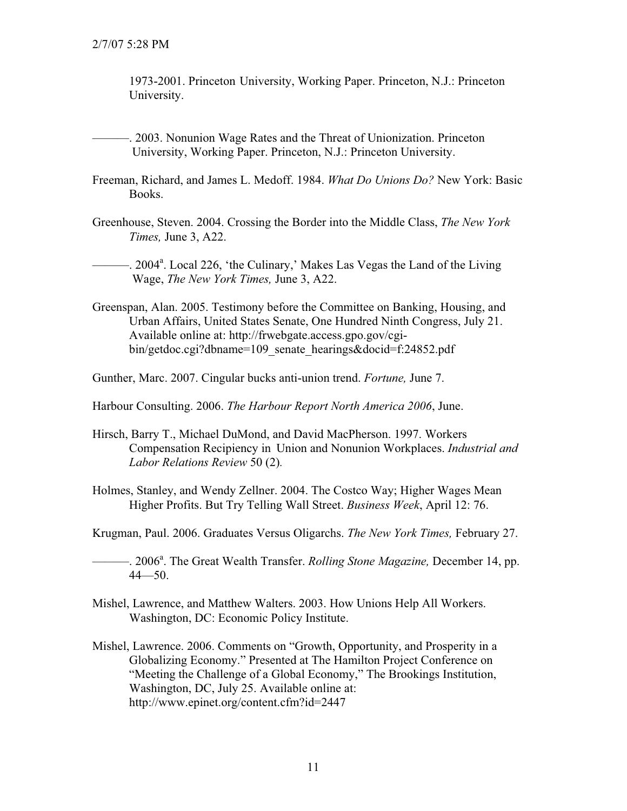1973-2001. Princeton University, Working Paper. Princeton, N.J.: Princeton University.

- -. 2003. Nonunion Wage Rates and the Threat of Unionization. Princeton University, Working Paper. Princeton, N.J.: Princeton University.
- Freeman, Richard, and James L. Medoff. 1984. *What Do Unions Do?* New York: Basic Books.
- Greenhouse, Steven. 2004. Crossing the Border into the Middle Class, *The New York Times,* June 3, A22.

12004<sup>a</sup>. Local 226, 'the Culinary,' Makes Las Vegas the Land of the Living Wage, *The New York Times,* June 3, A22.

Greenspan, Alan. 2005. Testimony before the Committee on Banking, Housing, and Urban Affairs, United States Senate, One Hundred Ninth Congress, July 21. Available online at: http://frwebgate.access.gpo.gov/cgibin/getdoc.cgi?dbname=109\_senate\_hearings&docid=f:24852.pdf

Gunther, Marc. 2007. Cingular bucks anti-union trend. *Fortune,* June 7.

Harbour Consulting. 2006. *The Harbour Report North America 2006*, June.

- Hirsch, Barry T., Michael DuMond, and David MacPherson. 1997. Workers Compensation Recipiency in Union and Nonunion Workplaces. *Industrial and Labor Relations Review* 50 (2)*.*
- Holmes, Stanley, and Wendy Zellner. 2004. The Costco Way; Higher Wages Mean Higher Profits. But Try Telling Wall Street. *Business Week*, April 12: 76.

Krugman, Paul. 2006. Graduates Versus Oligarchs. *The New York Times,* February 27.

**2006**<sup>a</sup>. The Great Wealth Transfer. *Rolling Stone Magazine*, December 14, pp. 44—50.

- Mishel, Lawrence, and Matthew Walters. 2003. How Unions Help All Workers. Washington, DC: Economic Policy Institute.
- Mishel, Lawrence. 2006. Comments on "Growth, Opportunity, and Prosperity in a Globalizing Economy." Presented at The Hamilton Project Conference on "Meeting the Challenge of a Global Economy," The Brookings Institution, Washington, DC, July 25. Available online at: http://www.epinet.org/content.cfm?id=2447